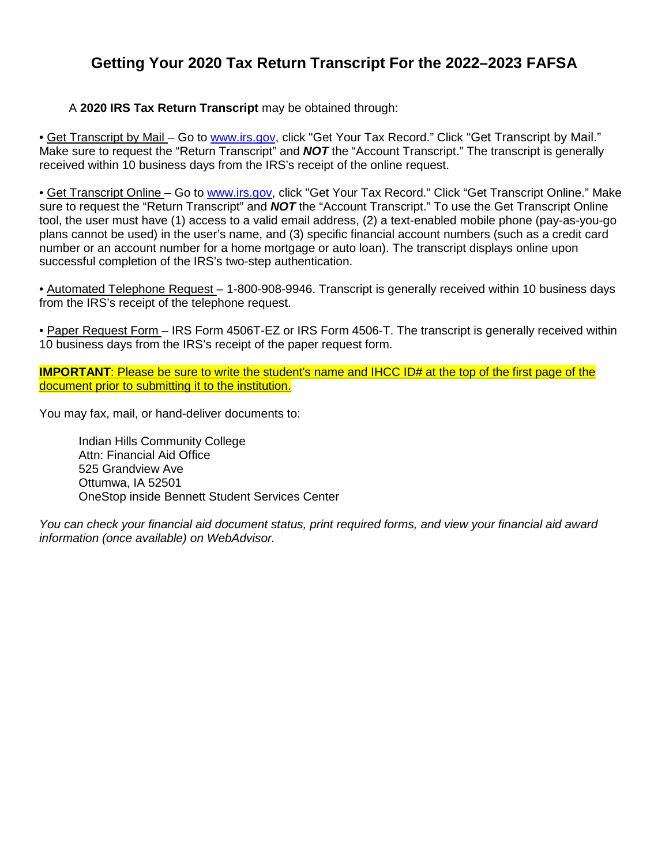# **Getting Your 2020 Tax Return Transcript For the 2022–2023 FAFSA**

#### A **2020 IRS Tax Return Transcript** may be obtained through:

• Get Transcript by Mail - Go to www.irs.gov, click "Get Your Tax Record." Click "Get Transcript by Mail." Make sure to request the "Return Transcript" and *NOT* the "Account Transcript." The transcript is generally received within 10 business days from the IRS's receipt of the online request.

• Get Transcript Online – Go to www.irs.gov, click "Get Your Tax Record." Click "Get Transcript Online." Make sure to request the "Return Transcript" and *NOT* the "Account Transcript." To use the Get Transcript Online tool, the user must have (1) access to a valid email address, (2) a text-enabled mobile phone (pay-as-you-go plans cannot be used) in the user's name, and (3) specific financial account numbers (such as a credit card number or an account number for a home mortgage or auto loan). The transcript displays online upon successful completion of the IRS's two-step authentication.

• Automated Telephone Request – 1-800-908-9946. Transcript is generally received within 10 business days from the IRS's receipt of the telephone request.

• Paper Request Form – IRS Form 4506T-EZ or IRS Form 4506-T. The transcript is generally received within 10 business days from the IRS's receipt of the paper request form.

**IMPORTANT:** Please be sure to write the student's name and IHCC ID# at the top of the first page of the document prior to submitting it to the institution.

You may fax, mail, or hand-deliver documents to:

Indian Hills Community College Attn: Financial Aid Office 525 Grandview Ave Ottumwa, IA 52501 OneStop inside Bennett Student Services Center

*You can check your financial aid document status, print required forms, and view your financial aid award information (once available) on WebAdvisor.*